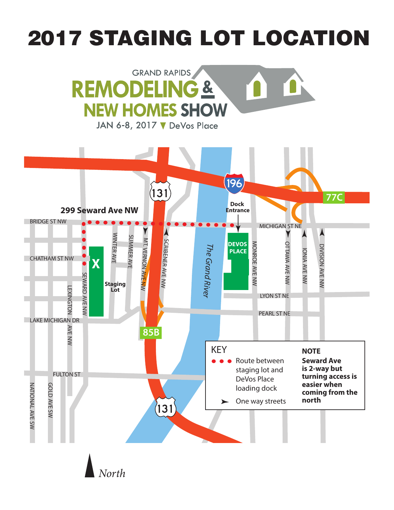# 2017 STAGING LOT LOCATION